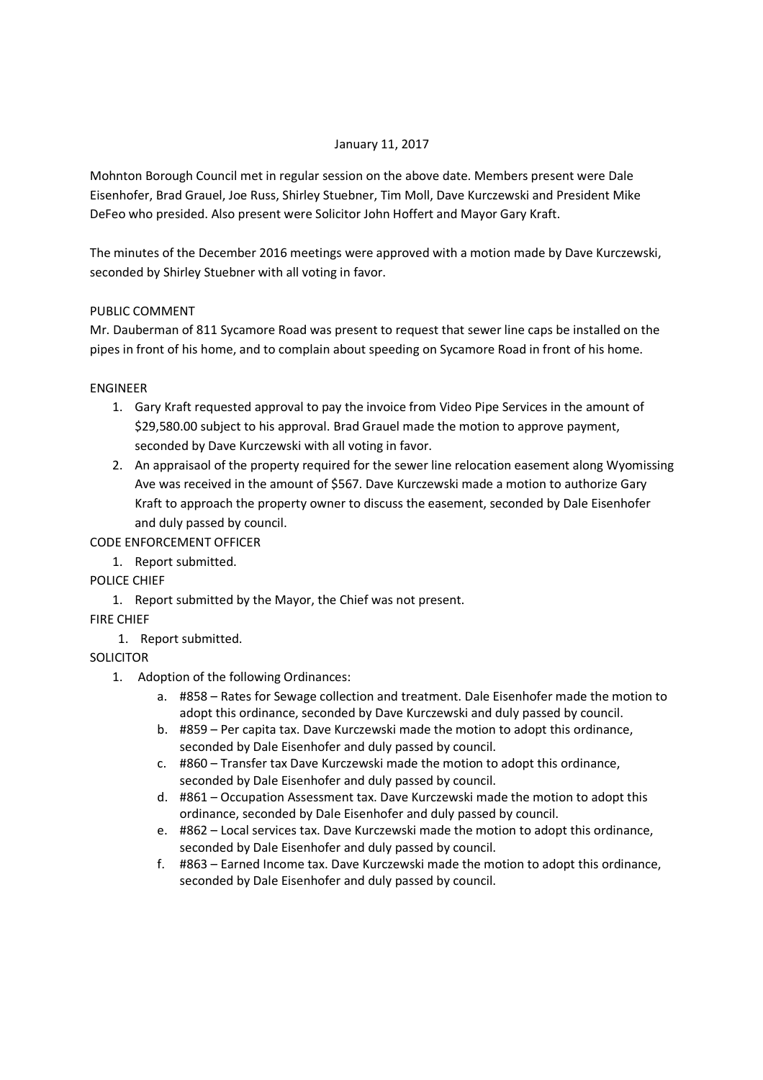### January 11, 2017

Mohnton Borough Council met in regular session on the above date. Members present were Dale Eisenhofer, Brad Grauel, Joe Russ, Shirley Stuebner, Tim Moll, Dave Kurczewski and President Mike DeFeo who presided. Also present were Solicitor John Hoffert and Mayor Gary Kraft.

The minutes of the December 2016 meetings were approved with a motion made by Dave Kurczewski, seconded by Shirley Stuebner with all voting in favor.

## PUBLIC COMMENT

Mr. Dauberman of 811 Sycamore Road was present to request that sewer line caps be installed on the pipes in front of his home, and to complain about speeding on Sycamore Road in front of his home.

### ENGINEER

- 1. Gary Kraft requested approval to pay the invoice from Video Pipe Services in the amount of \$29,580.00 subject to his approval. Brad Grauel made the motion to approve payment, seconded by Dave Kurczewski with all voting in favor.
- 2. An appraisaol of the property required for the sewer line relocation easement along Wyomissing Ave was received in the amount of \$567. Dave Kurczewski made a motion to authorize Gary Kraft to approach the property owner to discuss the easement, seconded by Dale Eisenhofer and duly passed by council.

# CODE ENFORCEMENT OFFICER

1. Report submitted.

POLICE CHIEF

1. Report submitted by the Mayor, the Chief was not present.

FIRE CHIEF

1. Report submitted.

**SOLICITOR** 

- 1. Adoption of the following Ordinances:
	- a. #858 Rates for Sewage collection and treatment. Dale Eisenhofer made the motion to adopt this ordinance, seconded by Dave Kurczewski and duly passed by council.
	- b. #859 Per capita tax. Dave Kurczewski made the motion to adopt this ordinance, seconded by Dale Eisenhofer and duly passed by council.
	- c. #860 Transfer tax Dave Kurczewski made the motion to adopt this ordinance, seconded by Dale Eisenhofer and duly passed by council.
	- d. #861 Occupation Assessment tax. Dave Kurczewski made the motion to adopt this ordinance, seconded by Dale Eisenhofer and duly passed by council.
	- e. #862 Local services tax. Dave Kurczewski made the motion to adopt this ordinance, seconded by Dale Eisenhofer and duly passed by council.
	- f. #863 Earned Income tax. Dave Kurczewski made the motion to adopt this ordinance, seconded by Dale Eisenhofer and duly passed by council.